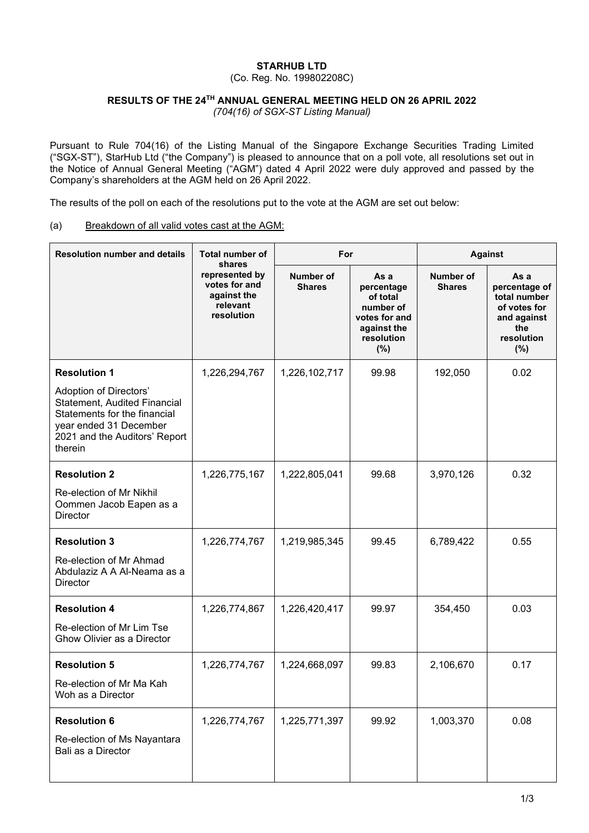## **STARHUB LTD**

(Co. Reg. No. 199802208C)

## **RESULTS OF THE 24TH ANNUAL GENERAL MEETING HELD ON 26 APRIL 2022**

*(704(16) of SGX-ST Listing Manual)*

Pursuant to Rule 704(16) of the Listing Manual of the Singapore Exchange Securities Trading Limited ("SGX-ST"), StarHub Ltd ("the Company") is pleased to announce that on a poll vote, all resolutions set out in the Notice of Annual General Meeting ("AGM") dated 4 April 2022 were duly approved and passed by the Company's shareholders at the AGM held on 26 April 2022.

The results of the poll on each of the resolutions put to the vote at the AGM are set out below:

## (a) Breakdown of all valid votes cast at the AGM:

| <b>Resolution number and details</b>                                                                                                                         | Total number of<br>shares<br>represented by<br>votes for and<br>against the<br>relevant<br>resolution | For                        |                                                                                                     | <b>Against</b>                    |                                                                                                     |
|--------------------------------------------------------------------------------------------------------------------------------------------------------------|-------------------------------------------------------------------------------------------------------|----------------------------|-----------------------------------------------------------------------------------------------------|-----------------------------------|-----------------------------------------------------------------------------------------------------|
|                                                                                                                                                              |                                                                                                       | Number of<br><b>Shares</b> | As a<br>percentage<br>of total<br>number of<br>votes for and<br>against the<br>resolution<br>$(\%)$ | <b>Number of</b><br><b>Shares</b> | As a<br>percentage of<br>total number<br>of votes for<br>and against<br>the<br>resolution<br>$(\%)$ |
| <b>Resolution 1</b>                                                                                                                                          | 1,226,294,767                                                                                         | 1,226,102,717              | 99.98                                                                                               | 192,050                           | 0.02                                                                                                |
| Adoption of Directors'<br>Statement, Audited Financial<br>Statements for the financial<br>year ended 31 December<br>2021 and the Auditors' Report<br>therein |                                                                                                       |                            |                                                                                                     |                                   |                                                                                                     |
| <b>Resolution 2</b>                                                                                                                                          | 1,226,775,167                                                                                         | 1,222,805,041              | 99.68                                                                                               | 3,970,126                         | 0.32                                                                                                |
| Re-election of Mr Nikhil<br>Oommen Jacob Eapen as a<br><b>Director</b>                                                                                       |                                                                                                       |                            |                                                                                                     |                                   |                                                                                                     |
| <b>Resolution 3</b>                                                                                                                                          | 1,226,774,767                                                                                         | 1,219,985,345              | 99.45                                                                                               | 6,789,422                         | 0.55                                                                                                |
| Re-election of Mr Ahmad<br>Abdulaziz A A Al-Neama as a<br>Director                                                                                           |                                                                                                       |                            |                                                                                                     |                                   |                                                                                                     |
| <b>Resolution 4</b>                                                                                                                                          | 1,226,774,867                                                                                         | 1,226,420,417              | 99.97                                                                                               | 354,450                           | 0.03                                                                                                |
| Re-election of Mr Lim Tse<br>Ghow Olivier as a Director                                                                                                      |                                                                                                       |                            |                                                                                                     |                                   |                                                                                                     |
| <b>Resolution 5</b>                                                                                                                                          | 1,226,774,767                                                                                         | 1,224,668,097              | 99.83                                                                                               | 2,106,670                         | 0.17                                                                                                |
| Re-election of Mr Ma Kah<br>Woh as a Director                                                                                                                |                                                                                                       |                            |                                                                                                     |                                   |                                                                                                     |
| <b>Resolution 6</b><br>Re-election of Ms Nayantara<br>Bali as a Director                                                                                     | 1,226,774,767                                                                                         | 1,225,771,397              | 99.92                                                                                               | 1,003,370                         | 0.08                                                                                                |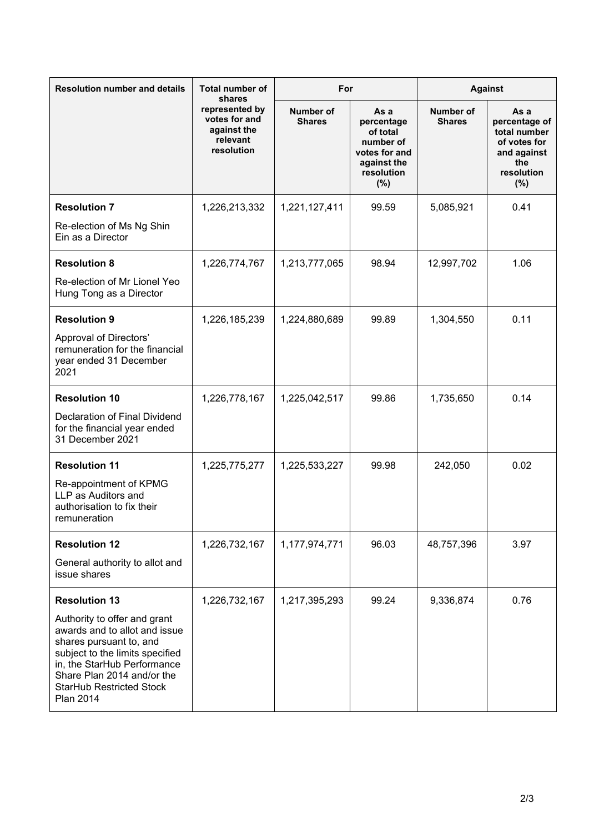| <b>Resolution number and details</b>                                                                                                                                                                                                                                    | <b>Total number of</b><br>shares<br>represented by<br>votes for and<br>against the<br>relevant<br>resolution | For                               |                                                                                                     | <b>Against</b>                    |                                                                                                     |
|-------------------------------------------------------------------------------------------------------------------------------------------------------------------------------------------------------------------------------------------------------------------------|--------------------------------------------------------------------------------------------------------------|-----------------------------------|-----------------------------------------------------------------------------------------------------|-----------------------------------|-----------------------------------------------------------------------------------------------------|
|                                                                                                                                                                                                                                                                         |                                                                                                              | <b>Number of</b><br><b>Shares</b> | As a<br>percentage<br>of total<br>number of<br>votes for and<br>against the<br>resolution<br>$(\%)$ | <b>Number of</b><br><b>Shares</b> | As a<br>percentage of<br>total number<br>of votes for<br>and against<br>the<br>resolution<br>$(\%)$ |
| <b>Resolution 7</b><br>Re-election of Ms Ng Shin<br>Ein as a Director                                                                                                                                                                                                   | 1,226,213,332                                                                                                | 1,221,127,411                     | 99.59                                                                                               | 5,085,921                         | 0.41                                                                                                |
| <b>Resolution 8</b><br>Re-election of Mr Lionel Yeo<br>Hung Tong as a Director                                                                                                                                                                                          | 1,226,774,767                                                                                                | 1,213,777,065                     | 98.94                                                                                               | 12,997,702                        | 1.06                                                                                                |
| <b>Resolution 9</b><br>Approval of Directors'<br>remuneration for the financial<br>year ended 31 December<br>2021                                                                                                                                                       | 1,226,185,239                                                                                                | 1,224,880,689                     | 99.89                                                                                               | 1,304,550                         | 0.11                                                                                                |
| <b>Resolution 10</b><br>Declaration of Final Dividend<br>for the financial year ended<br>31 December 2021                                                                                                                                                               | 1,226,778,167                                                                                                | 1,225,042,517                     | 99.86                                                                                               | 1,735,650                         | 0.14                                                                                                |
| <b>Resolution 11</b><br>Re-appointment of KPMG<br>LLP as Auditors and<br>authorisation to fix their<br>remuneration                                                                                                                                                     | 1,225,775,277                                                                                                | 1,225,533,227                     | 99.98                                                                                               | 242,050                           | 0.02                                                                                                |
| <b>Resolution 12</b><br>General authority to allot and<br>issue shares                                                                                                                                                                                                  | 1,226,732,167                                                                                                | 1,177,974,771                     | 96.03                                                                                               | 48,757,396                        | 3.97                                                                                                |
| <b>Resolution 13</b><br>Authority to offer and grant<br>awards and to allot and issue<br>shares pursuant to, and<br>subject to the limits specified<br>in, the StarHub Performance<br>Share Plan 2014 and/or the<br><b>StarHub Restricted Stock</b><br><b>Plan 2014</b> | 1,226,732,167                                                                                                | 1,217,395,293                     | 99.24                                                                                               | 9,336,874                         | 0.76                                                                                                |